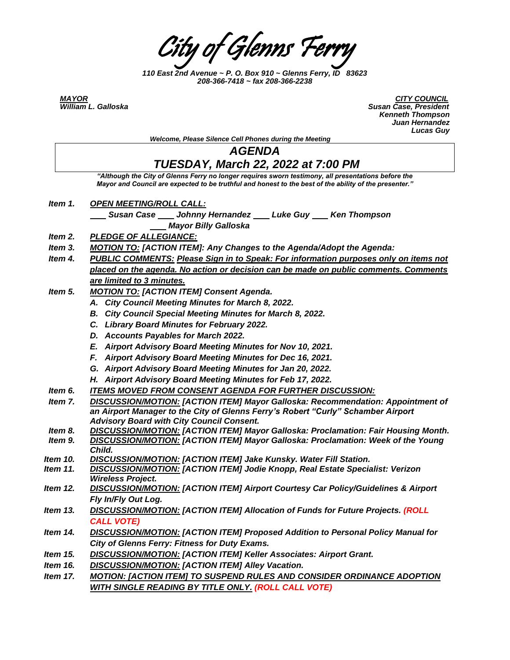City of Glenns Ferry

*110 East 2nd Avenue ~ P. O. Box 910 ~ Glenns Ferry, ID 83623 208-366-7418 ~ fax 208-366-2238*

*MAYOR CITY COUNCIL William L. Galloska Susan Case, President Kenneth Thompson Juan Hernandez Lucas Guy*

|          | <b>Lucas Guy</b>                                                                                                                                                                                              |
|----------|---------------------------------------------------------------------------------------------------------------------------------------------------------------------------------------------------------------|
|          | Welcome, Please Silence Cell Phones during the Meeting                                                                                                                                                        |
|          | <b>AGENDA</b>                                                                                                                                                                                                 |
|          | <b>TUESDAY, March 22, 2022 at 7:00 PM</b>                                                                                                                                                                     |
|          | "Although the City of Glenns Ferry no longer requires sworn testimony, all presentations before the<br>Mayor and Council are expected to be truthful and honest to the best of the ability of the presenter." |
| Item 1.  | <b>OPEN MEETING/ROLL CALL:</b>                                                                                                                                                                                |
|          | Susan Case Johnny Hernandez Luke Guy Ken Thompson                                                                                                                                                             |
|          | <b>Mayor Billy Galloska</b>                                                                                                                                                                                   |
| Item 2.  | <b>PLEDGE OF ALLEGIANCE:</b>                                                                                                                                                                                  |
| Item 3.  | <b>MOTION TO: [ACTION ITEM]: Any Changes to the Agenda/Adopt the Agenda:</b>                                                                                                                                  |
| Item 4.  | <b>PUBLIC COMMENTS: Please Sign in to Speak: For information purposes only on items not</b>                                                                                                                   |
|          | placed on the agenda. No action or decision can be made on public comments. Comments                                                                                                                          |
|          | are limited to 3 minutes.                                                                                                                                                                                     |
| Item 5.  | <b>MOTION TO: [ACTION ITEM] Consent Agenda.</b>                                                                                                                                                               |
|          | A. City Council Meeting Minutes for March 8, 2022.                                                                                                                                                            |
|          | B. City Council Special Meeting Minutes for March 8, 2022.                                                                                                                                                    |
|          | C. Library Board Minutes for February 2022.                                                                                                                                                                   |
|          | D. Accounts Payables for March 2022.                                                                                                                                                                          |
|          | E. Airport Advisory Board Meeting Minutes for Nov 10, 2021.                                                                                                                                                   |
|          | F. Airport Advisory Board Meeting Minutes for Dec 16, 2021.                                                                                                                                                   |
|          | G. Airport Advisory Board Meeting Minutes for Jan 20, 2022.                                                                                                                                                   |
|          | H. Airport Advisory Board Meeting Minutes for Feb 17, 2022.                                                                                                                                                   |
| Item 6.  | <b>ITEMS MOVED FROM CONSENT AGENDA FOR FURTHER DISCUSSION:</b>                                                                                                                                                |
| Item 7.  | <b>DISCUSSION/MOTION: [ACTION ITEM] Mayor Galloska: Recommendation: Appointment of</b><br>an Airport Manager to the City of Glenns Ferry's Robert "Curly" Schamber Airport                                    |
| Item 8.  | <b>Advisory Board with City Council Consent.</b><br>DISCUSSION/MOTION: [ACTION ITEM] Mayor Galloska: Proclamation: Fair Housing Month.                                                                        |
| Item 9.  | <b>DISCUSSION/MOTION: [ACTION ITEM] Mayor Galloska: Proclamation: Week of the Young</b><br>Child.                                                                                                             |
| Item 10. | DISCUSSION/MOTION: [ACTION ITEM] Jake Kunsky. Water Fill Station.                                                                                                                                             |
| ltem 11. | <b>DISCUSSION/MOTION: [ACTION ITEM] Jodie Knopp, Real Estate Specialist: Verizon</b><br><b>Wireless Project.</b>                                                                                              |
| Item 12. | <b>DISCUSSION/MOTION: [ACTION ITEM] Airport Courtesy Car Policy/Guidelines &amp; Airport</b>                                                                                                                  |
| ltem 13. | Fly In/Fly Out Log.<br><b>DISCUSSION/MOTION: [ACTION ITEM] Allocation of Funds for Future Projects. (ROLL</b>                                                                                                 |
|          | <b>CALL VOTE)</b>                                                                                                                                                                                             |
| ltem 14. | <b>DISCUSSION/MOTION:</b> [ACTION ITEM] Proposed Addition to Personal Policy Manual for                                                                                                                       |
|          | City of Glenns Ferry: Fitness for Duty Exams.                                                                                                                                                                 |
| ltem 15. | DISCUSSION/MOTION: [ACTION ITEM] Keller Associates: Airport Grant.                                                                                                                                            |
| Item 16. | <b>DISCUSSION/MOTION: [ACTION ITEM] Alley Vacation.</b>                                                                                                                                                       |
| Item 17. | MOTION: [ACTION ITEM] TO SUSPEND RULES AND CONSIDER ORDINANCE ADOPTION<br><b>WITH SINGLE READING BY TITLE ONLY. (ROLL CALL VOTE)</b>                                                                          |